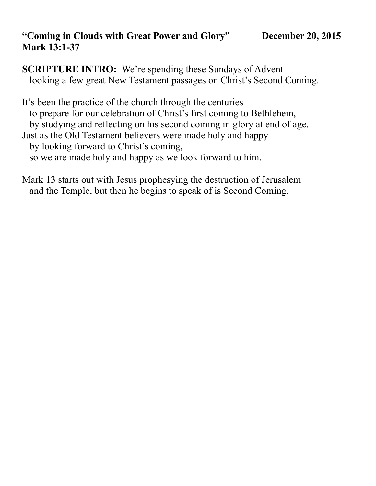## **"Coming in Clouds with Great Power and Glory" December 20, 2015 Mark 13:1-37**

**SCRIPTURE INTRO:** We're spending these Sundays of Advent looking a few great New Testament passages on Christ's Second Coming.

It's been the practice of the church through the centuries to prepare for our celebration of Christ's first coming to Bethlehem, by studying and reflecting on his second coming in glory at end of age. Just as the Old Testament believers were made holy and happy by looking forward to Christ's coming, so we are made holy and happy as we look forward to him.

Mark 13 starts out with Jesus prophesying the destruction of Jerusalem and the Temple, but then he begins to speak of is Second Coming.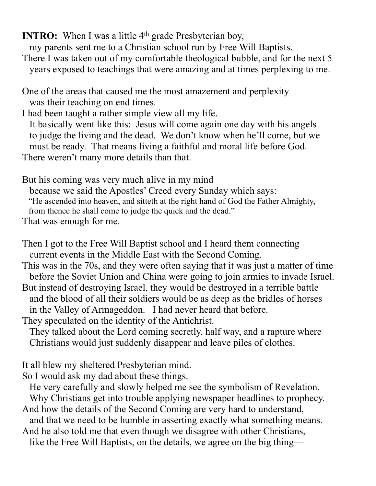**INTRO:** When I was a little 4<sup>th</sup> grade Presbyterian boy,

my parents sent me to a Christian school run by Free Will Baptists.

There I was taken out of my comfortable theological bubble, and for the next 5 years exposed to teachings that were amazing and at times perplexing to me.

One of the areas that caused me the most amazement and perplexity was their teaching on end times.

I had been taught a rather simple view all my life. It basically went like this: Jesus will come again one day with his angels to judge the living and the dead. We don't know when he'll come, but we

 must be ready. That means living a faithful and moral life before God. There weren't many more details than that.

But his coming was very much alive in my mind

 because we said the Apostles' Creed every Sunday which says: "He ascended into heaven, and sitteth at the right hand of God the Father Almighty, from thence he shall come to judge the quick and the dead."

That was enough for me.

Then I got to the Free Will Baptist school and I heard them connecting current events in the Middle East with the Second Coming.

This was in the 70s, and they were often saying that it was just a matter of time before the Soviet Union and China were going to join armies to invade Israel. But instead of destroying Israel, they would be destroyed in a terrible battle and the blood of all their soldiers would be as deep as the bridles of horses in the Valley of Armageddon. I had never heard that before.

They speculated on the identity of the Antichrist.

 They talked about the Lord coming secretly, half way, and a rapture where Christians would just suddenly disappear and leave piles of clothes.

It all blew my sheltered Presbyterian mind.

So I would ask my dad about these things.

He very carefully and slowly helped me see the symbolism of Revelation.

Why Christians get into trouble applying newspaper headlines to prophecy.

And how the details of the Second Coming are very hard to understand,

and that we need to be humble in asserting exactly what something means.

And he also told me that even though we disagree with other Christians, like the Free Will Baptists, on the details, we agree on the big thing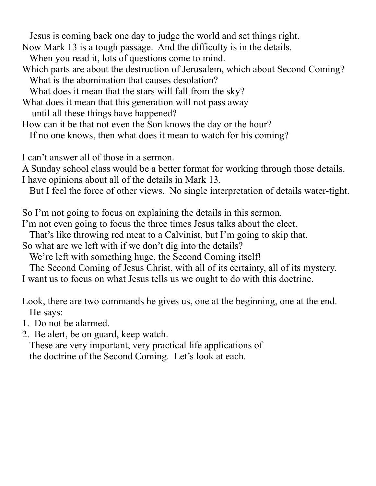Jesus is coming back one day to judge the world and set things right.

Now Mark 13 is a tough passage. And the difficulty is in the details.

When you read it, lots of questions come to mind.

Which parts are about the destruction of Jerusalem, which about Second Coming? What is the abomination that causes desolation?

What does it mean that the stars will fall from the sky?

What does it mean that this generation will not pass away

until all these things have happened?

How can it be that not even the Son knows the day or the hour?

If no one knows, then what does it mean to watch for his coming?

I can't answer all of those in a sermon.

A Sunday school class would be a better format for working through those details. I have opinions about all of the details in Mark 13.

But I feel the force of other views. No single interpretation of details water-tight.

So I'm not going to focus on explaining the details in this sermon.

I'm not even going to focus the three times Jesus talks about the elect.

That's like throwing red meat to a Calvinist, but I'm going to skip that.

So what are we left with if we don't dig into the details?

We're left with something huge, the Second Coming itself!

 The Second Coming of Jesus Christ, with all of its certainty, all of its mystery. I want us to focus on what Jesus tells us we ought to do with this doctrine.

Look, there are two commands he gives us, one at the beginning, one at the end. He says:

1. Do not be alarmed.

2. Be alert, be on guard, keep watch.

 These are very important, very practical life applications of the doctrine of the Second Coming. Let's look at each.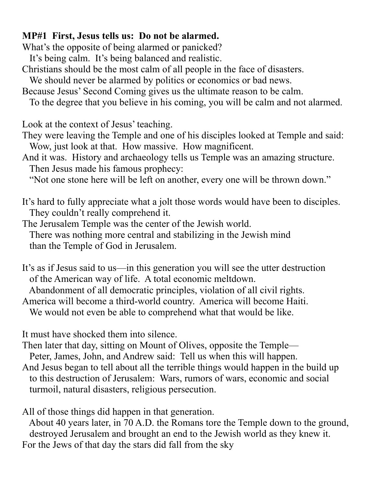## **MP#1 First, Jesus tells us: Do not be alarmed.**

What's the opposite of being alarmed or panicked?

It's being calm. It's being balanced and realistic.

Christians should be the most calm of all people in the face of disasters.

We should never be alarmed by politics or economics or bad news.

Because Jesus' Second Coming gives us the ultimate reason to be calm.

To the degree that you believe in his coming, you will be calm and not alarmed.

Look at the context of Jesus' teaching.

They were leaving the Temple and one of his disciples looked at Temple and said: Wow, just look at that. How massive. How magnificent.

And it was. History and archaeology tells us Temple was an amazing structure. Then Jesus made his famous prophecy:

"Not one stone here will be left on another, every one will be thrown down."

It's hard to fully appreciate what a jolt those words would have been to disciples. They couldn't really comprehend it.

The Jerusalem Temple was the center of the Jewish world. There was nothing more central and stabilizing in the Jewish mind than the Temple of God in Jerusalem.

It's as if Jesus said to us—in this generation you will see the utter destruction of the American way of life. A total economic meltdown.

Abandonment of all democratic principles, violation of all civil rights.

America will become a third-world country. America will become Haiti.

We would not even be able to comprehend what that would be like.

It must have shocked them into silence.

Then later that day, sitting on Mount of Olives, opposite the Temple—

 Peter, James, John, and Andrew said: Tell us when this will happen. And Jesus began to tell about all the terrible things would happen in the build up to this destruction of Jerusalem: Wars, rumors of wars, economic and social turmoil, natural disasters, religious persecution.

All of those things did happen in that generation.

 About 40 years later, in 70 A.D. the Romans tore the Temple down to the ground, destroyed Jerusalem and brought an end to the Jewish world as they knew it. For the Jews of that day the stars did fall from the sky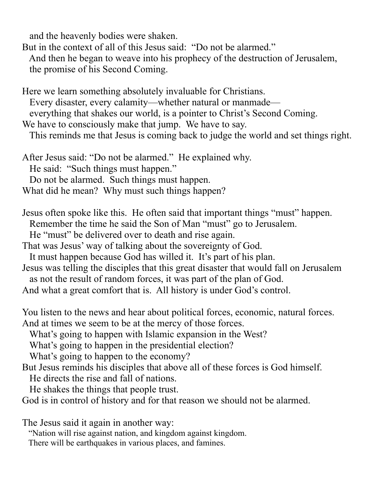and the heavenly bodies were shaken.

But in the context of all of this Jesus said: "Do not be alarmed."

 And then he began to weave into his prophecy of the destruction of Jerusalem, the promise of his Second Coming.

Here we learn something absolutely invaluable for Christians. Every disaster, every calamity—whether natural or manmade everything that shakes our world, is a pointer to Christ's Second Coming. We have to consciously make that jump. We have to say.

This reminds me that Jesus is coming back to judge the world and set things right.

After Jesus said: "Do not be alarmed." He explained why. He said: "Such things must happen." Do not be alarmed. Such things must happen. What did he mean? Why must such things happen?

Jesus often spoke like this. He often said that important things "must" happen.

Remember the time he said the Son of Man "must" go to Jerusalem.

He "must" be delivered over to death and rise again.

That was Jesus' way of talking about the sovereignty of God.

It must happen because God has willed it. It's part of his plan.

Jesus was telling the disciples that this great disaster that would fall on Jerusalem as not the result of random forces, it was part of the plan of God.

And what a great comfort that is. All history is under God's control.

You listen to the news and hear about political forces, economic, natural forces. And at times we seem to be at the mercy of those forces.

What's going to happen with Islamic expansion in the West?

What's going to happen in the presidential election?

What's going to happen to the economy?

But Jesus reminds his disciples that above all of these forces is God himself.

He directs the rise and fall of nations.

He shakes the things that people trust.

God is in control of history and for that reason we should not be alarmed.

The Jesus said it again in another way:

"Nation will rise against nation, and kingdom against kingdom.

There will be earthquakes in various places, and famines.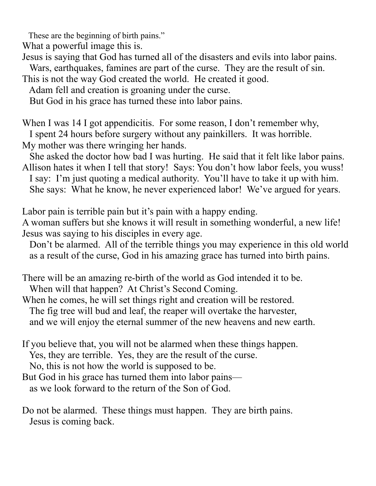These are the beginning of birth pains."

What a powerful image this is.

Jesus is saying that God has turned all of the disasters and evils into labor pains.

Wars, earthquakes, famines are part of the curse. They are the result of sin.

This is not the way God created the world. He created it good.

Adam fell and creation is groaning under the curse.

But God in his grace has turned these into labor pains.

When I was 14 I got appendicitis. For some reason, I don't remember why,

I spent 24 hours before surgery without any painkillers. It was horrible.

My mother was there wringing her hands.

 She asked the doctor how bad I was hurting. He said that it felt like labor pains. Allison hates it when I tell that story! Says: You don't how labor feels, you wuss! I say: I'm just quoting a medical authority. You'll have to take it up with him. She says: What he know, he never experienced labor! We've argued for years.

Labor pain is terrible pain but it's pain with a happy ending.

A woman suffers but she knows it will result in something wonderful, a new life! Jesus was saying to his disciples in every age.

 Don't be alarmed. All of the terrible things you may experience in this old world as a result of the curse, God in his amazing grace has turned into birth pains.

There will be an amazing re-birth of the world as God intended it to be.

When will that happen? At Christ's Second Coming.

When he comes, he will set things right and creation will be restored. The fig tree will bud and leaf, the reaper will overtake the harvester,

and we will enjoy the eternal summer of the new heavens and new earth.

If you believe that, you will not be alarmed when these things happen.

Yes, they are terrible. Yes, they are the result of the curse.

No, this is not how the world is supposed to be.

But God in his grace has turned them into labor pains—

as we look forward to the return of the Son of God.

Do not be alarmed. These things must happen. They are birth pains. Jesus is coming back.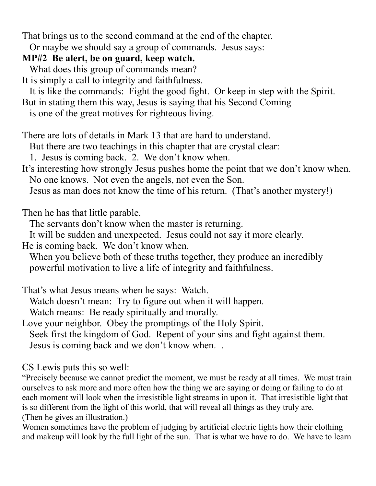That brings us to the second command at the end of the chapter.

Or maybe we should say a group of commands. Jesus says:

## **MP#2 Be alert, be on guard, keep watch.**

What does this group of commands mean?

It is simply a call to integrity and faithfulness.

It is like the commands: Fight the good fight. Or keep in step with the Spirit.

But in stating them this way, Jesus is saying that his Second Coming

is one of the great motives for righteous living.

There are lots of details in Mark 13 that are hard to understand.

But there are two teachings in this chapter that are crystal clear:

1. Jesus is coming back. 2. We don't know when.

It's interesting how strongly Jesus pushes home the point that we don't know when. No one knows. Not even the angels, not even the Son.

Jesus as man does not know the time of his return. (That's another mystery!)

Then he has that little parable.

The servants don't know when the master is returning.

It will be sudden and unexpected. Jesus could not say it more clearly.

He is coming back. We don't know when.

When you believe both of these truths together, they produce an incredibly powerful motivation to live a life of integrity and faithfulness.

That's what Jesus means when he says: Watch.

Watch doesn't mean: Try to figure out when it will happen.

Watch means: Be ready spiritually and morally.

Love your neighbor. Obey the promptings of the Holy Spirit. Seek first the kingdom of God. Repent of your sins and fight against them.

Jesus is coming back and we don't know when. .

CS Lewis puts this so well:

"Precisely because we cannot predict the moment, we must be ready at all times. We must train ourselves to ask more and more often how the thing we are saying or doing or failing to do at each moment will look when the irresistible light streams in upon it. That irresistible light that is so different from the light of this world, that will reveal all things as they truly are. (Then he gives an illustration.)

Women sometimes have the problem of judging by artificial electric lights how their clothing and makeup will look by the full light of the sun. That is what we have to do. We have to learn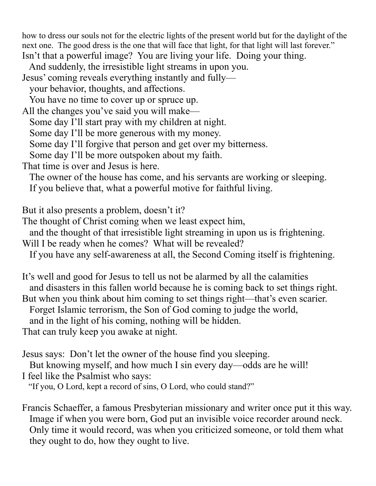how to dress our souls not for the electric lights of the present world but for the daylight of the next one. The good dress is the one that will face that light, for that light will last forever." Isn't that a powerful image? You are living your life. Doing your thing.

 And suddenly, the irresistible light streams in upon you. Jesus' coming reveals everything instantly and fully—

your behavior, thoughts, and affections.

You have no time to cover up or spruce up.

All the changes you've said you will make—

Some day I'll start pray with my children at night.

Some day I'll be more generous with my money.

Some day I'll forgive that person and get over my bitterness.

Some day I'll be more outspoken about my faith.

That time is over and Jesus is here.

The owner of the house has come, and his servants are working or sleeping.

If you believe that, what a powerful motive for faithful living.

But it also presents a problem, doesn't it?

The thought of Christ coming when we least expect him,

and the thought of that irresistible light streaming in upon us is frightening.

Will I be ready when he comes? What will be revealed?

If you have any self-awareness at all, the Second Coming itself is frightening.

It's well and good for Jesus to tell us not be alarmed by all the calamities and disasters in this fallen world because he is coming back to set things right. But when you think about him coming to set things right—that's even scarier.

Forget Islamic terrorism, the Son of God coming to judge the world,

and in the light of his coming, nothing will be hidden.

That can truly keep you awake at night.

Jesus says: Don't let the owner of the house find you sleeping.

But knowing myself, and how much I sin every day—odds are he will!

I feel like the Psalmist who says:

"If you, O Lord, kept a record of sins, O Lord, who could stand?"

Francis Schaeffer, a famous Presbyterian missionary and writer once put it this way. Image if when you were born, God put an invisible voice recorder around neck. Only time it would record, was when you criticized someone, or told them what they ought to do, how they ought to live.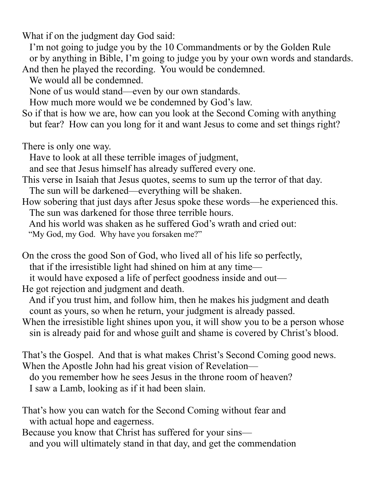What if on the judgment day God said:

 I'm not going to judge you by the 10 Commandments or by the Golden Rule or by anything in Bible, I'm going to judge you by your own words and standards. And then he played the recording. You would be condemned.

We would all be condemned.

None of us would stand—even by our own standards.

How much more would we be condemned by God's law.

So if that is how we are, how can you look at the Second Coming with anything but fear? How can you long for it and want Jesus to come and set things right?

There is only one way.

Have to look at all these terrible images of judgment,

and see that Jesus himself has already suffered every one.

This verse in Isaiah that Jesus quotes, seems to sum up the terror of that day.

The sun will be darkened—everything will be shaken.

How sobering that just days after Jesus spoke these words—he experienced this. The sun was darkened for those three terrible hours.

And his world was shaken as he suffered God's wrath and cried out:

"My God, my God. Why have you forsaken me?"

On the cross the good Son of God, who lived all of his life so perfectly,

that if the irresistible light had shined on him at any time—

it would have exposed a life of perfect goodness inside and out—

He got rejection and judgment and death.

 And if you trust him, and follow him, then he makes his judgment and death count as yours, so when he return, your judgment is already passed.

When the irresistible light shines upon you, it will show you to be a person whose sin is already paid for and whose guilt and shame is covered by Christ's blood.

That's the Gospel. And that is what makes Christ's Second Coming good news. When the Apostle John had his great vision of Revelation do you remember how he sees Jesus in the throne room of heaven? I saw a Lamb, looking as if it had been slain.

That's how you can watch for the Second Coming without fear and with actual hope and eagerness.

Because you know that Christ has suffered for your sins and you will ultimately stand in that day, and get the commendation